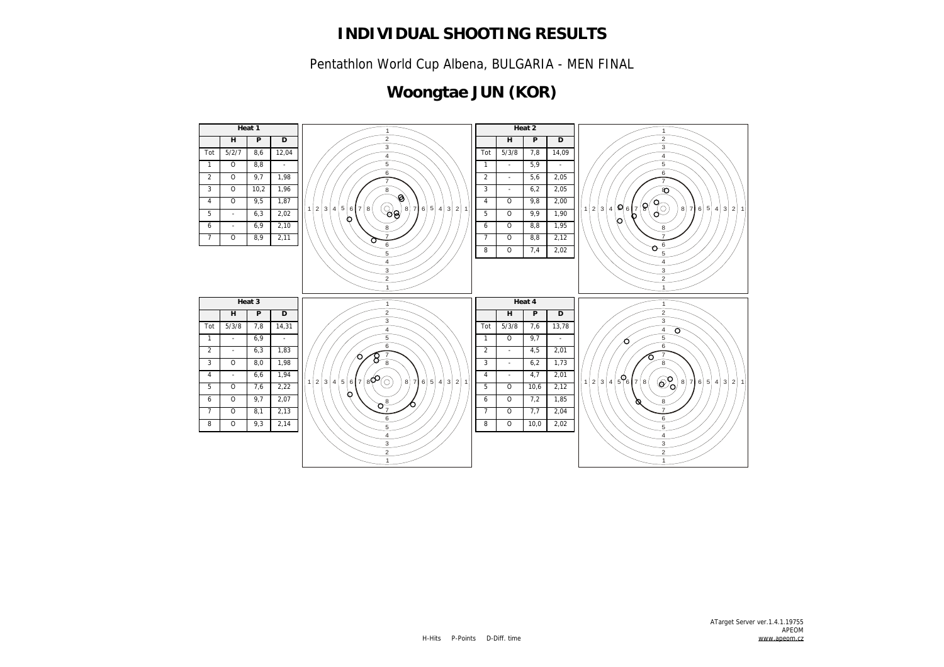Pentathlon World Cup Albena, BULGARIA - MEN FINAL

## **Woongtae JUN (KOR)**

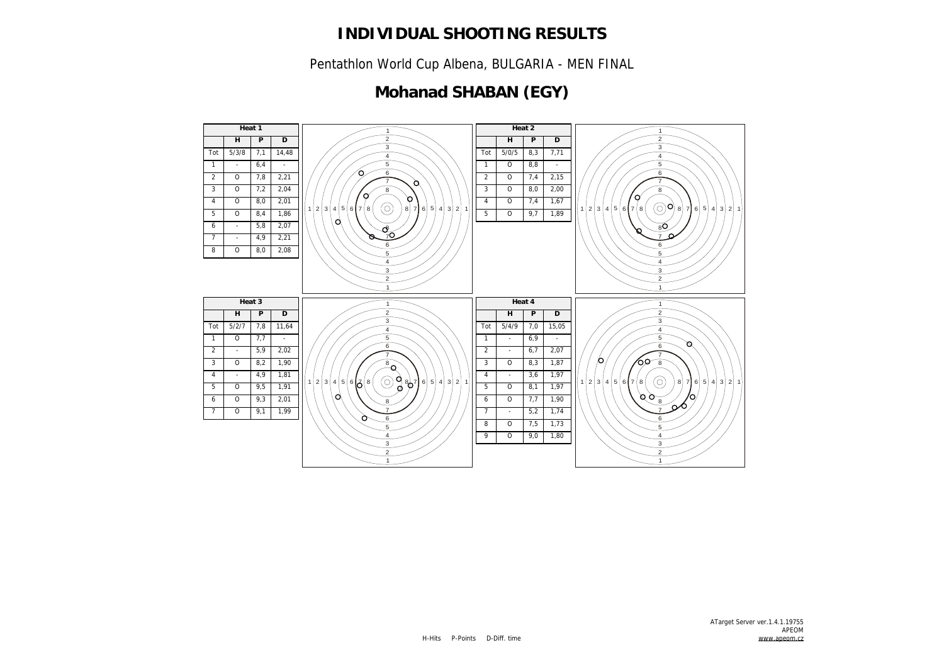Pentathlon World Cup Albena, BULGARIA - MEN FINAL

## **Mohanad SHABAN (EGY)**

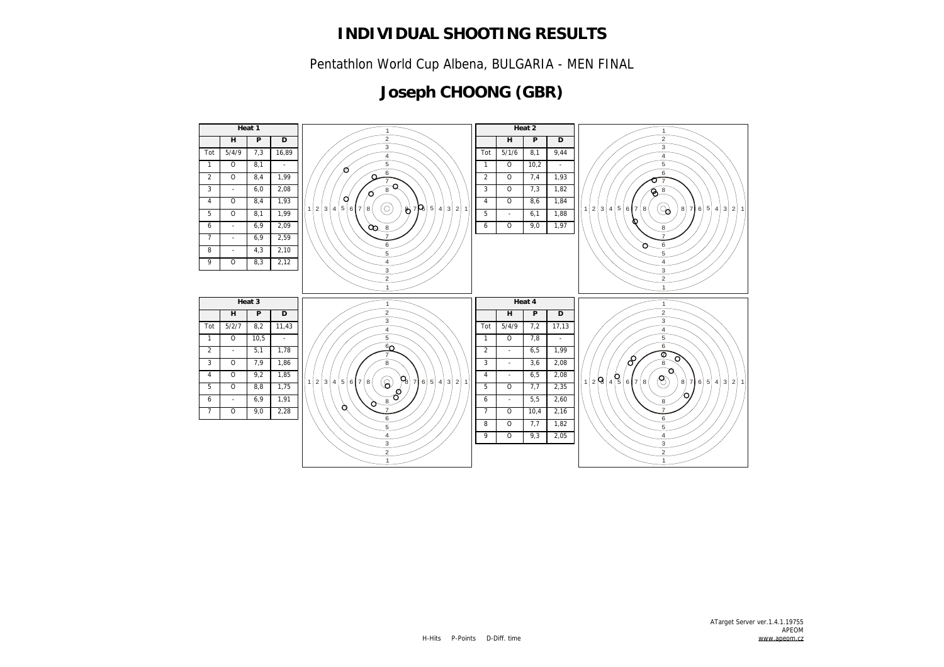Pentathlon World Cup Albena, BULGARIA - MEN FINAL

## **Joseph CHOONG (GBR)**

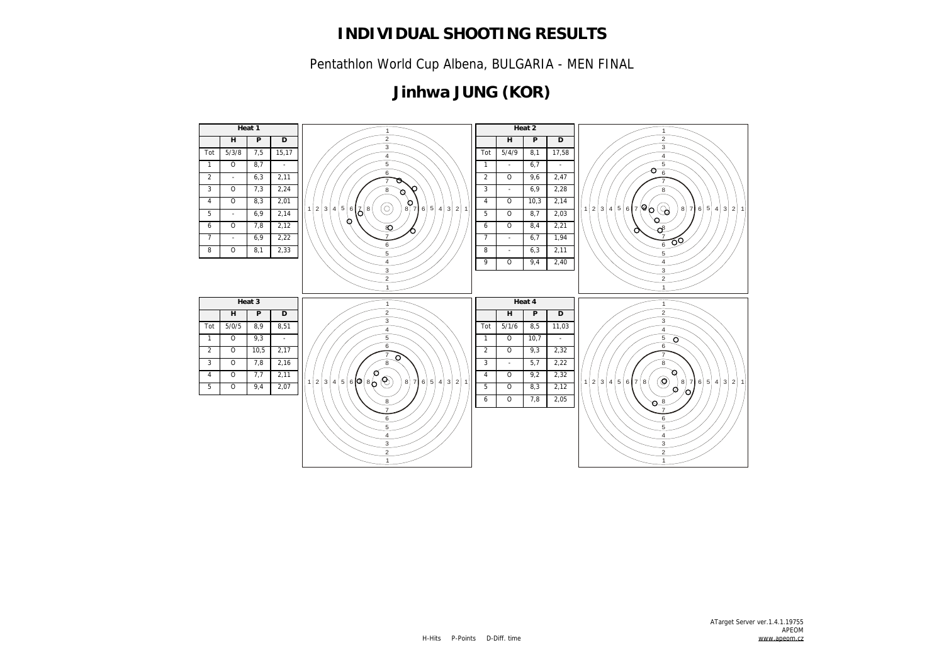Pentathlon World Cup Albena, BULGARIA - MEN FINAL

# **Jinhwa JUNG (KOR)**

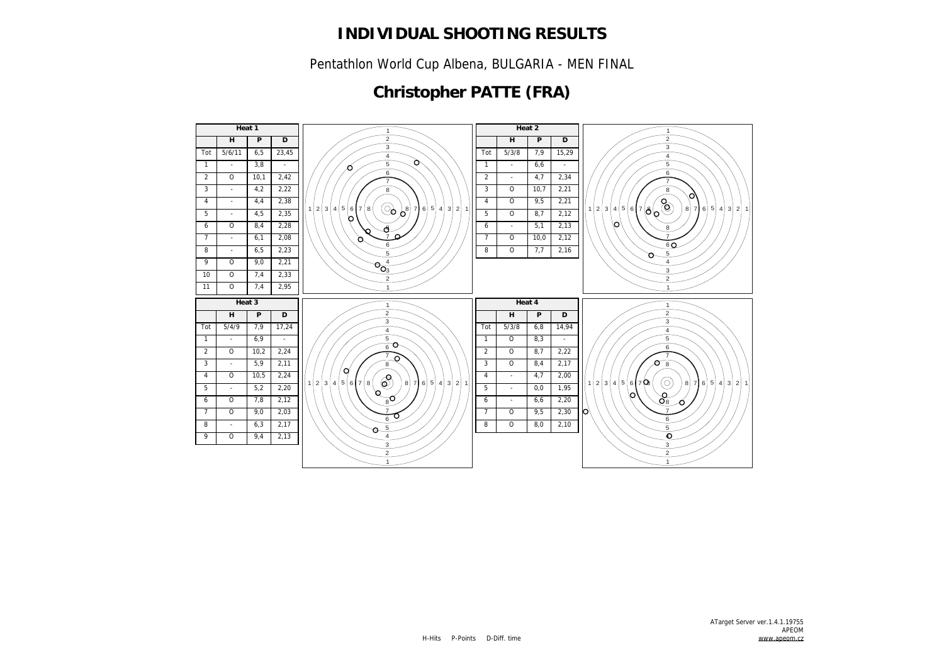Pentathlon World Cup Albena, BULGARIA - MEN FINAL

## **Christopher PATTE (FRA)**

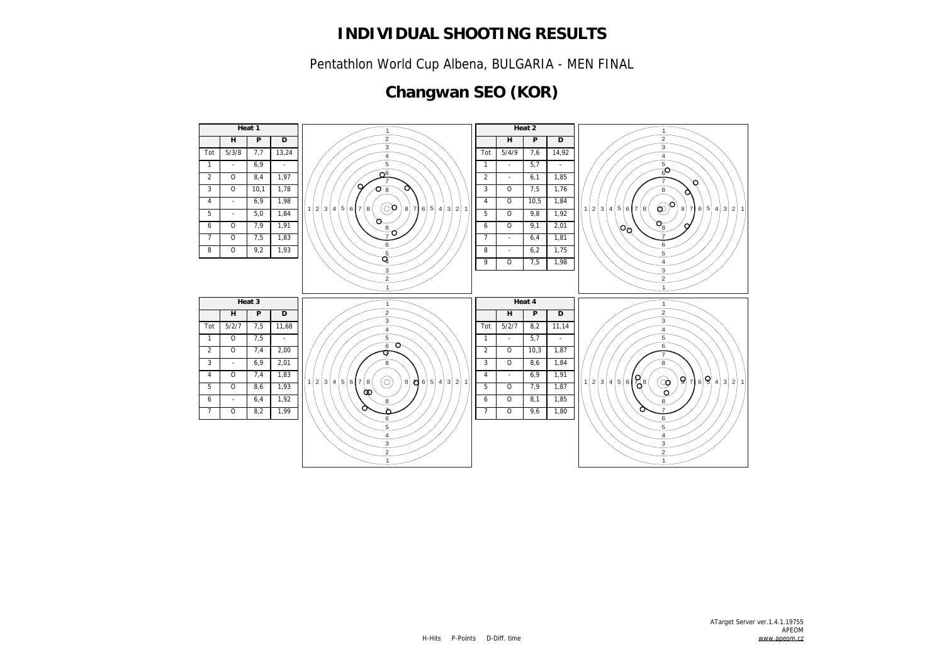Pentathlon World Cup Albena, BULGARIA - MEN FINAL

# **Changwan SEO (KOR)**

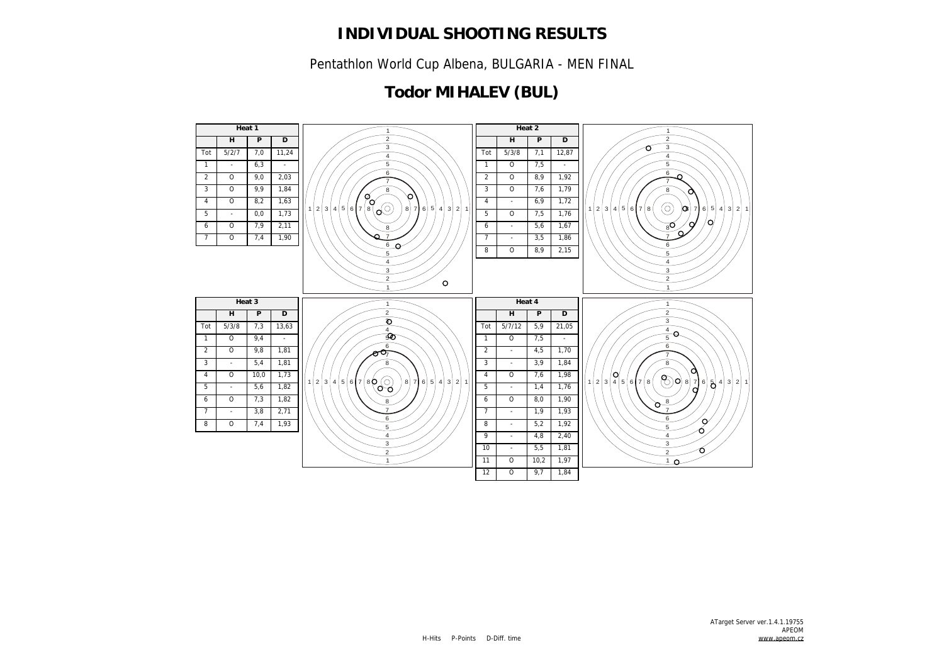Pentathlon World Cup Albena, BULGARIA - MEN FINAL

## **Todor MIHALEV (BUL)**

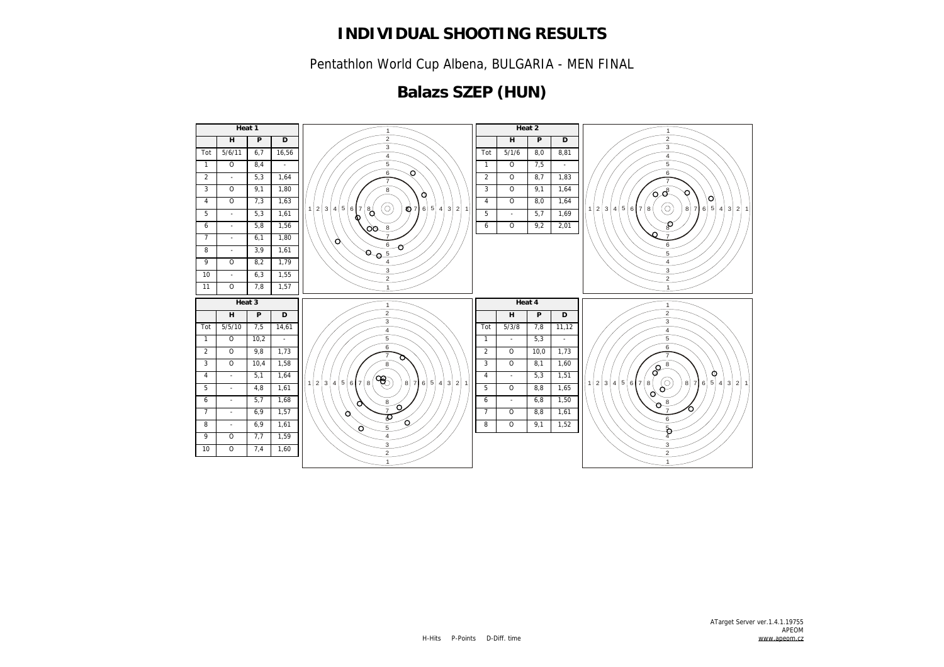Pentathlon World Cup Albena, BULGARIA - MEN FINAL

## **Balazs SZEP (HUN)**

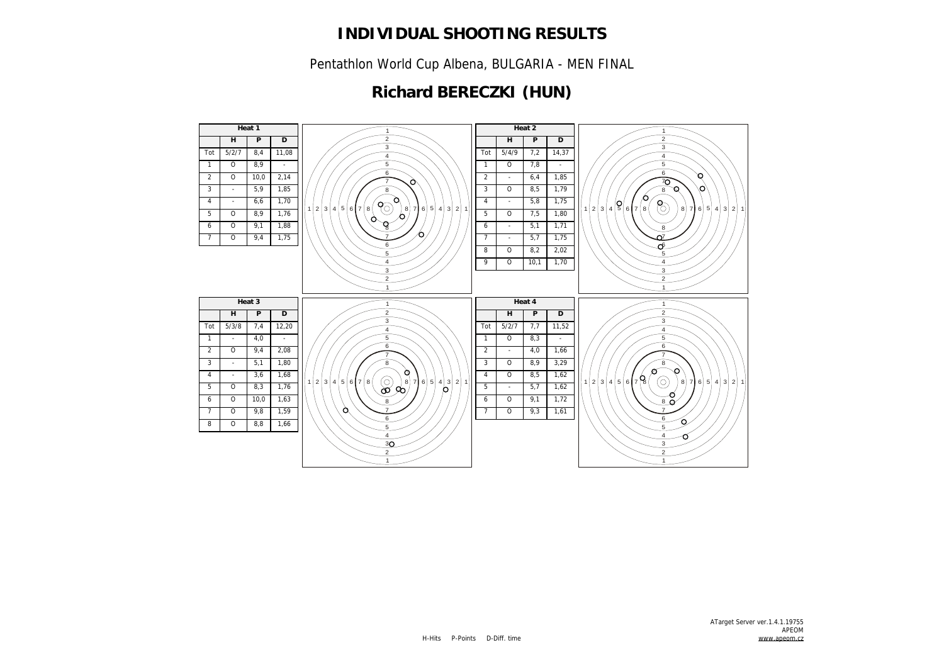Pentathlon World Cup Albena, BULGARIA - MEN FINAL

## **Richard BERECZKI (HUN)**

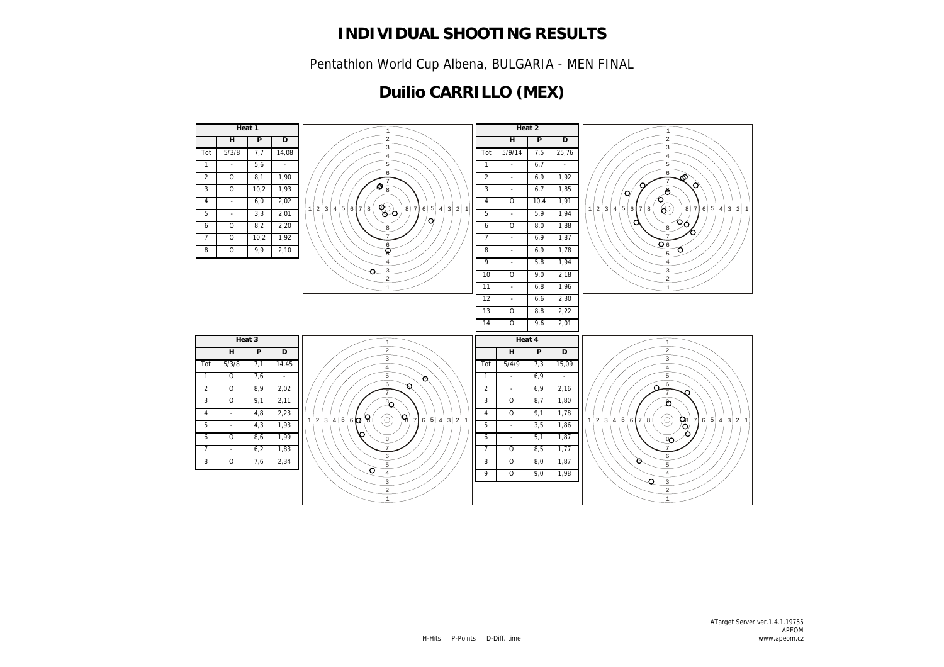Pentathlon World Cup Albena, BULGARIA - MEN FINAL

## **Duilio CARRILLO (MEX)**

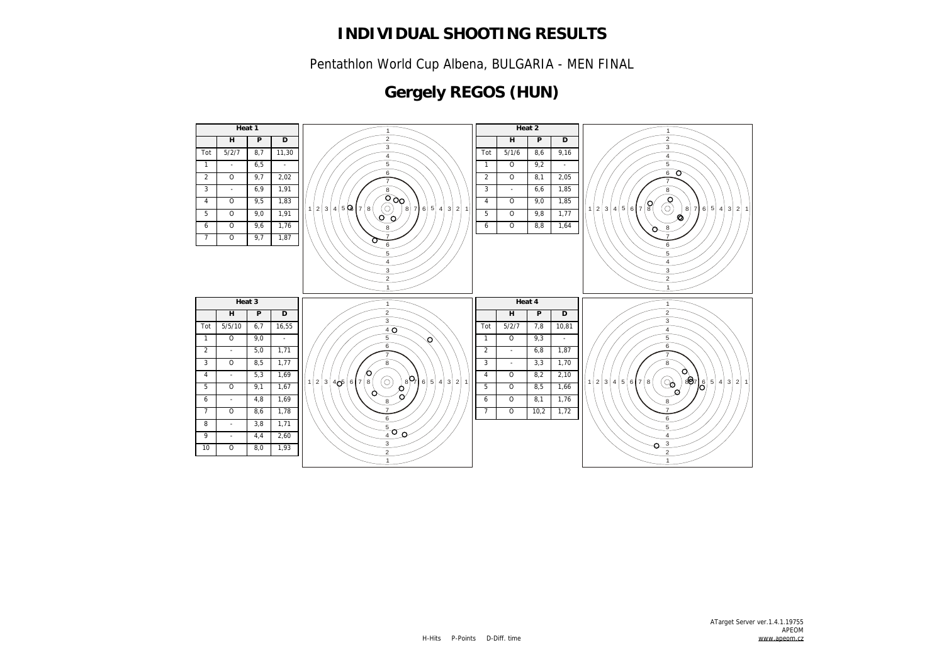Pentathlon World Cup Albena, BULGARIA - MEN FINAL

# **Gergely REGOS (HUN)**

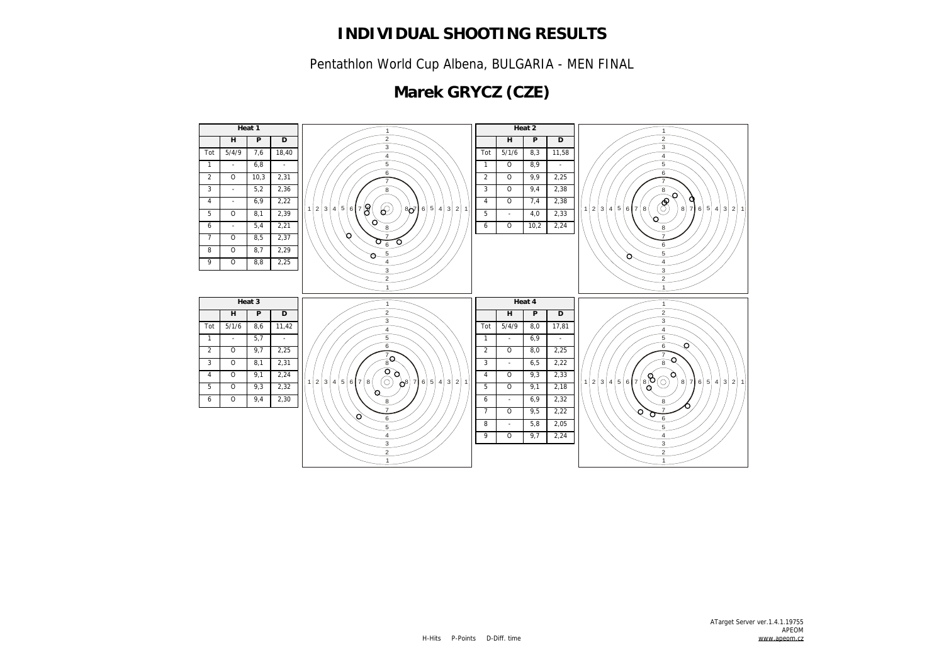Pentathlon World Cup Albena, BULGARIA - MEN FINAL

# **Marek GRYCZ (CZE)**

![](_page_11_Figure_3.jpeg)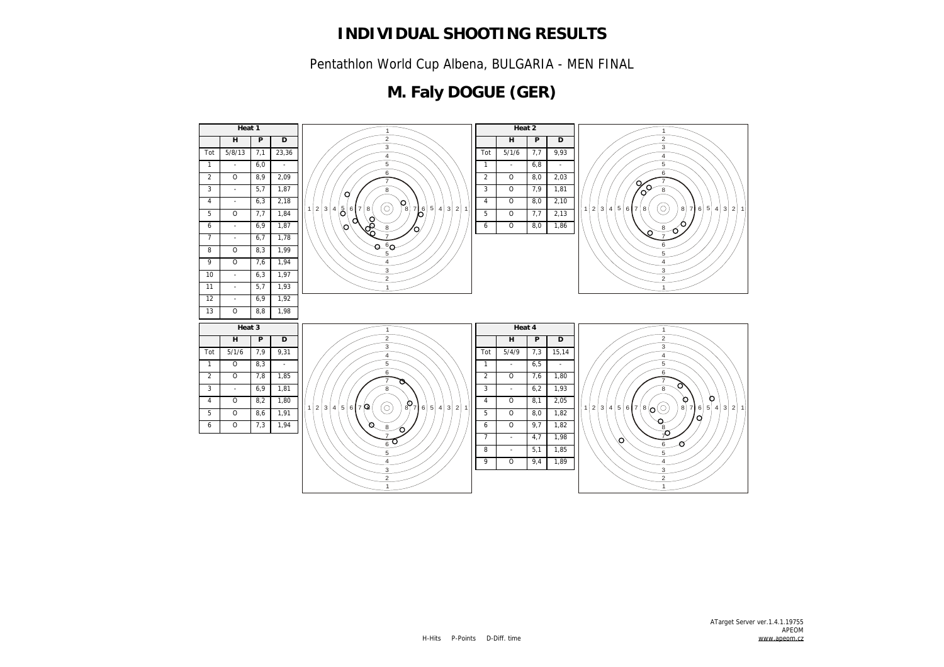Pentathlon World Cup Albena, BULGARIA - MEN FINAL

## **M. Faly DOGUE (GER)**

![](_page_12_Figure_3.jpeg)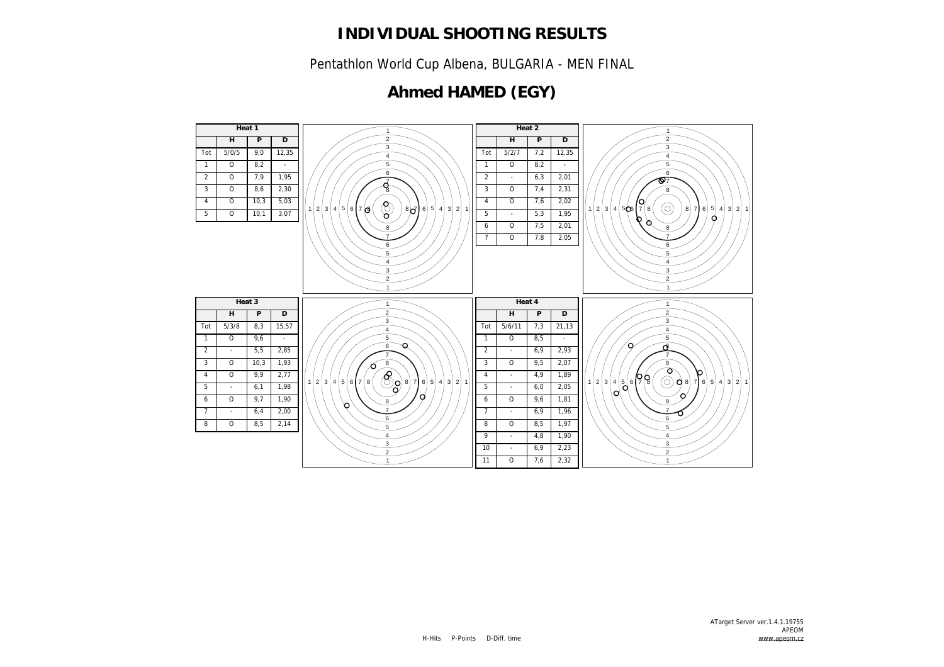Pentathlon World Cup Albena, BULGARIA - MEN FINAL

## **Ahmed HAMED (EGY)**

![](_page_13_Figure_3.jpeg)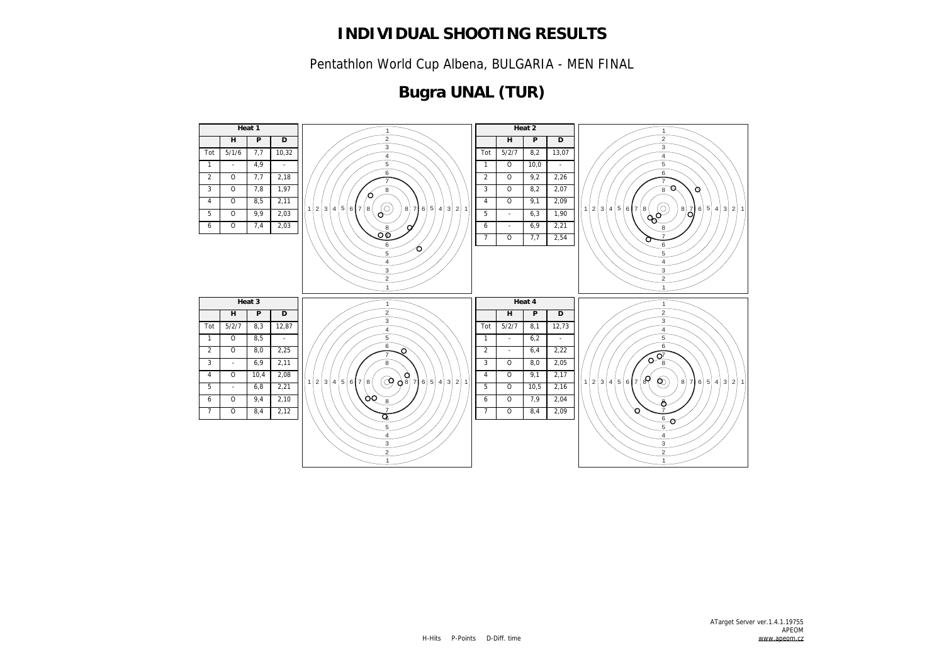Pentathlon World Cup Albena, BULGARIA - MEN FINAL

## **Bugra UNAL (TUR)**

![](_page_14_Figure_3.jpeg)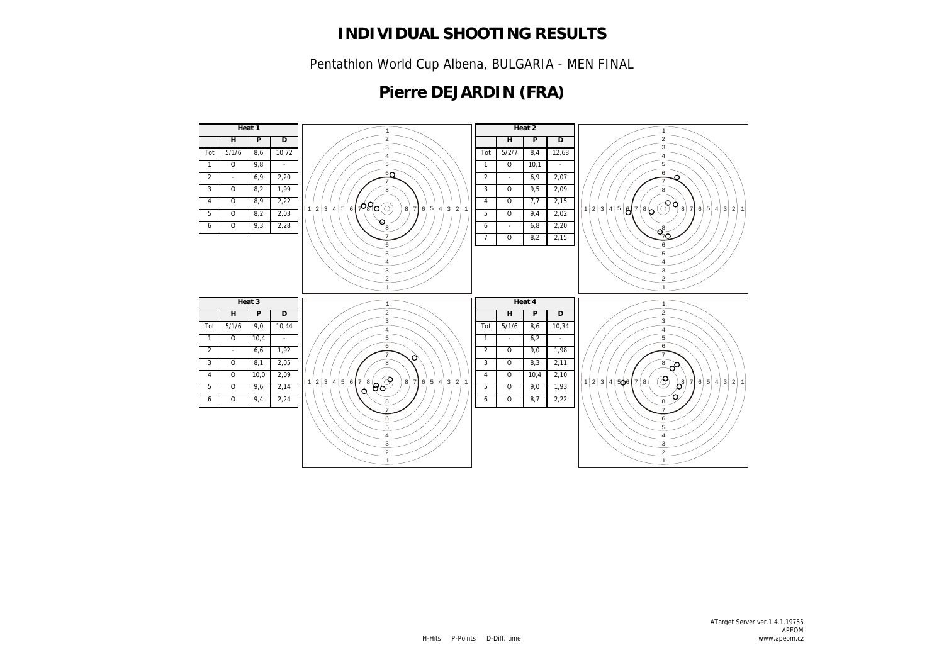Pentathlon World Cup Albena, BULGARIA - MEN FINAL

## **Pierre DEJARDIN (FRA)**

![](_page_15_Figure_3.jpeg)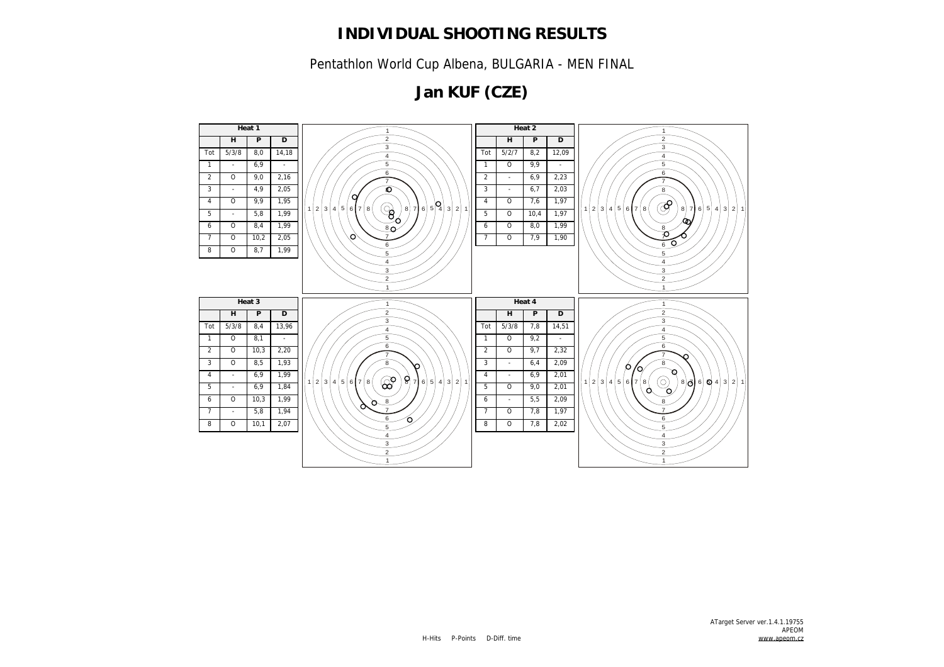Pentathlon World Cup Albena, BULGARIA - MEN FINAL

# **Jan KUF (CZE)**

![](_page_16_Figure_3.jpeg)